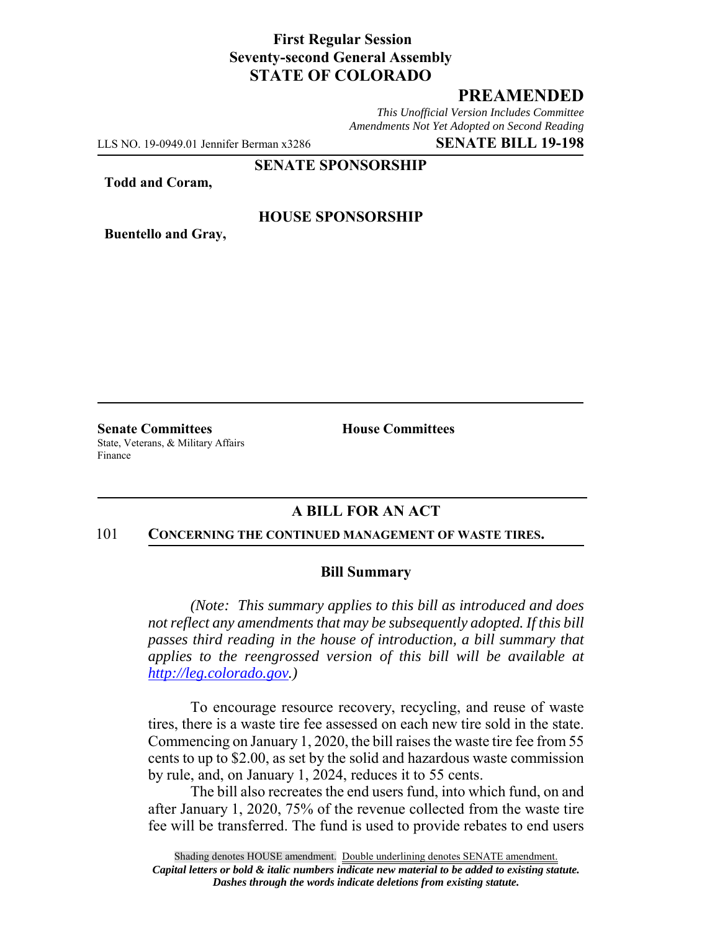## **First Regular Session Seventy-second General Assembly STATE OF COLORADO**

## **PREAMENDED**

*This Unofficial Version Includes Committee Amendments Not Yet Adopted on Second Reading*

LLS NO. 19-0949.01 Jennifer Berman x3286 **SENATE BILL 19-198**

#### **SENATE SPONSORSHIP**

**Todd and Coram,**

### **HOUSE SPONSORSHIP**

**Buentello and Gray,**

**Senate Committees House Committees** State, Veterans, & Military Affairs Finance

### **A BILL FOR AN ACT**

#### 101 **CONCERNING THE CONTINUED MANAGEMENT OF WASTE TIRES.**

#### **Bill Summary**

*(Note: This summary applies to this bill as introduced and does not reflect any amendments that may be subsequently adopted. If this bill passes third reading in the house of introduction, a bill summary that applies to the reengrossed version of this bill will be available at http://leg.colorado.gov.)*

To encourage resource recovery, recycling, and reuse of waste tires, there is a waste tire fee assessed on each new tire sold in the state. Commencing on January 1, 2020, the bill raises the waste tire fee from 55 cents to up to \$2.00, as set by the solid and hazardous waste commission by rule, and, on January 1, 2024, reduces it to 55 cents.

The bill also recreates the end users fund, into which fund, on and after January 1, 2020, 75% of the revenue collected from the waste tire fee will be transferred. The fund is used to provide rebates to end users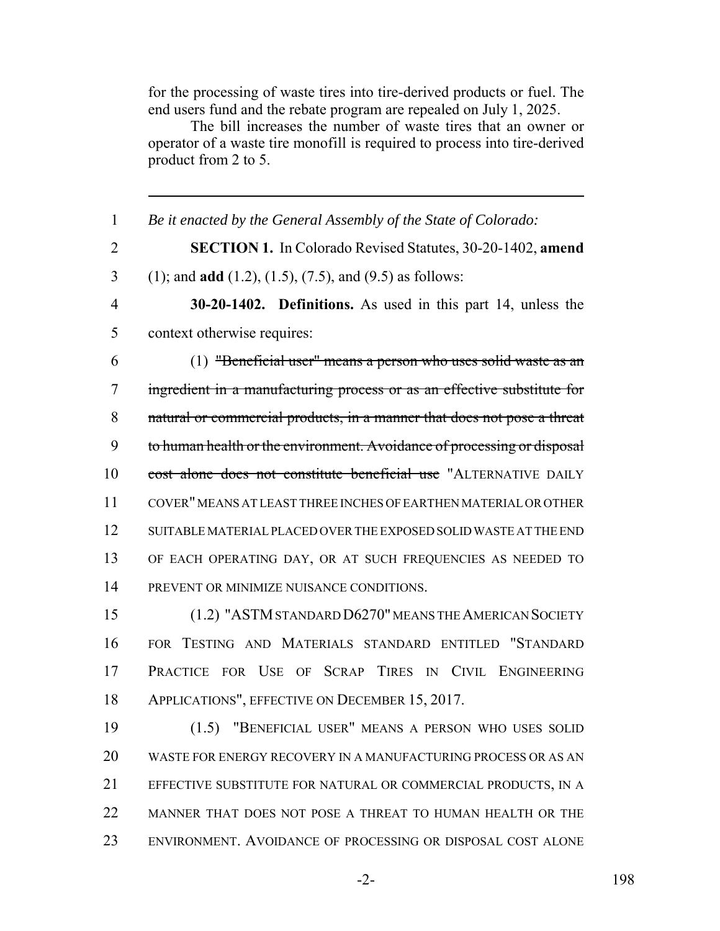for the processing of waste tires into tire-derived products or fuel. The end users fund and the rebate program are repealed on July 1, 2025.

The bill increases the number of waste tires that an owner or operator of a waste tire monofill is required to process into tire-derived product from 2 to 5.

 *Be it enacted by the General Assembly of the State of Colorado:* **SECTION 1.** In Colorado Revised Statutes, 30-20-1402, **amend** (1); and **add** (1.2), (1.5), (7.5), and (9.5) as follows: **30-20-1402. Definitions.** As used in this part 14, unless the context otherwise requires: (1) "Beneficial user" means a person who uses solid waste as an ingredient in a manufacturing process or as an effective substitute for natural or commercial products, in a manner that does not pose a threat 9 to human health or the environment. Avoidance of processing or disposal cost alone does not constitute beneficial use "ALTERNATIVE DAILY COVER" MEANS AT LEAST THREE INCHES OF EARTHEN MATERIAL OR OTHER SUITABLE MATERIAL PLACED OVER THE EXPOSED SOLID WASTE AT THE END OF EACH OPERATING DAY, OR AT SUCH FREQUENCIES AS NEEDED TO PREVENT OR MINIMIZE NUISANCE CONDITIONS. (1.2) "ASTM STANDARD D6270" MEANS THE AMERICAN SOCIETY FOR TESTING AND MATERIALS STANDARD ENTITLED "STANDARD PRACTICE FOR USE OF SCRAP TIRES IN CIVIL ENGINEERING APPLICATIONS", EFFECTIVE ON DECEMBER 15, 2017. (1.5) "BENEFICIAL USER" MEANS A PERSON WHO USES SOLID WASTE FOR ENERGY RECOVERY IN A MANUFACTURING PROCESS OR AS AN EFFECTIVE SUBSTITUTE FOR NATURAL OR COMMERCIAL PRODUCTS, IN A MANNER THAT DOES NOT POSE A THREAT TO HUMAN HEALTH OR THE ENVIRONMENT. AVOIDANCE OF PROCESSING OR DISPOSAL COST ALONE

-2- 198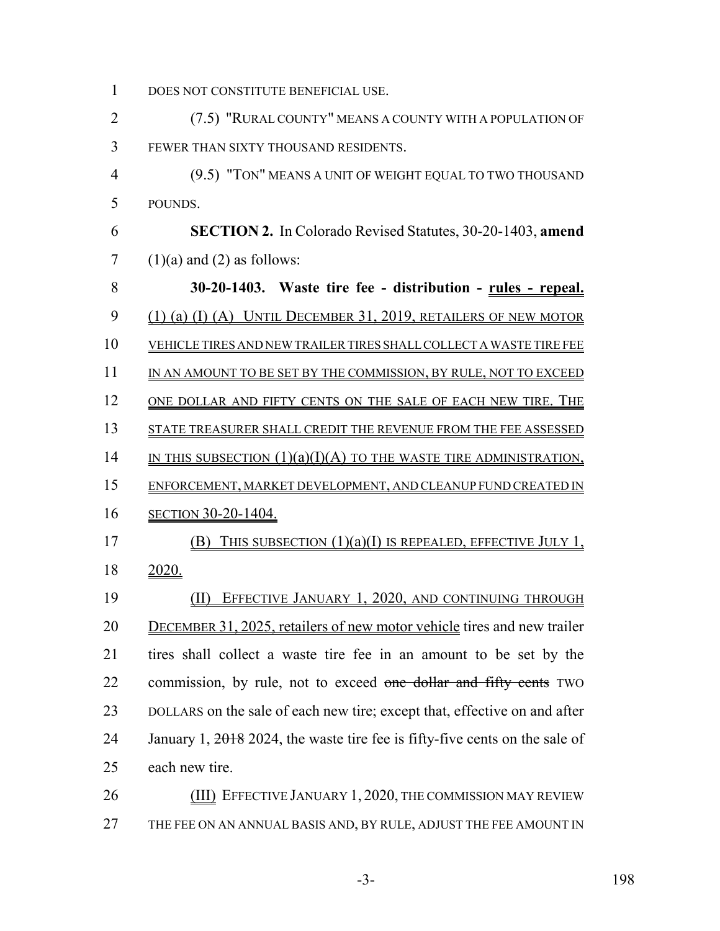DOES NOT CONSTITUTE BENEFICIAL USE.

 (7.5) "RURAL COUNTY" MEANS A COUNTY WITH A POPULATION OF FEWER THAN SIXTY THOUSAND RESIDENTS.

 (9.5) "TON" MEANS A UNIT OF WEIGHT EQUAL TO TWO THOUSAND POUNDS.

 **SECTION 2.** In Colorado Revised Statutes, 30-20-1403, **amend**  $7 \quad (1)(a)$  and  $(2)$  as follows:

 **30-20-1403. Waste tire fee - distribution - rules - repeal.** (1) (a) (I) (A) UNTIL DECEMBER 31, 2019, RETAILERS OF NEW MOTOR VEHICLE TIRES AND NEW TRAILER TIRES SHALL COLLECT A WASTE TIRE FEE 11 IN AN AMOUNT TO BE SET BY THE COMMISSION, BY RULE, NOT TO EXCEED 12 ONE DOLLAR AND FIFTY CENTS ON THE SALE OF EACH NEW TIRE. THE STATE TREASURER SHALL CREDIT THE REVENUE FROM THE FEE ASSESSED 14 IN THIS SUBSECTION  $(1)(a)(I)(A)$  TO THE WASTE TIRE ADMINISTRATION, ENFORCEMENT, MARKET DEVELOPMENT, AND CLEANUP FUND CREATED IN SECTION 30-20-1404. (B) THIS SUBSECTION (1)(a)(I) IS REPEALED, EFFECTIVE JULY 1, 2020. (II) EFFECTIVE JANUARY 1, 2020, AND CONTINUING THROUGH DECEMBER 31, 2025, retailers of new motor vehicle tires and new trailer tires shall collect a waste tire fee in an amount to be set by the 22 commission, by rule, not to exceed one dollar and fifty cents TWO DOLLARS on the sale of each new tire; except that, effective on and after 24 January 1,  $\frac{2018}{2024}$ , the waste tire fee is fifty-five cents on the sale of each new tire.

**(III) EFFECTIVE JANUARY 1, 2020, THE COMMISSION MAY REVIEW** 27 THE FEE ON AN ANNUAL BASIS AND, BY RULE, ADJUST THE FEE AMOUNT IN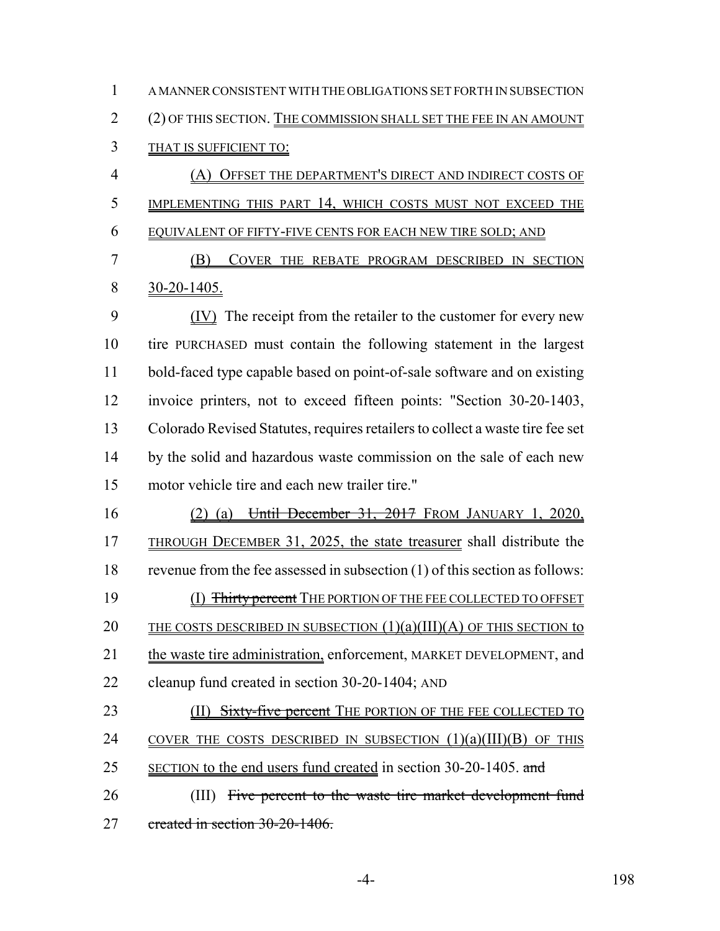A MANNER CONSISTENT WITH THE OBLIGATIONS SET FORTH IN SUBSECTION (2) OF THIS SECTION. THE COMMISSION SHALL SET THE FEE IN AN AMOUNT THAT IS SUFFICIENT TO: (A) OFFSET THE DEPARTMENT'S DIRECT AND INDIRECT COSTS OF IMPLEMENTING THIS PART 14, WHICH COSTS MUST NOT EXCEED THE EQUIVALENT OF FIFTY-FIVE CENTS FOR EACH NEW TIRE SOLD; AND (B) COVER THE REBATE PROGRAM DESCRIBED IN SECTION 30-20-1405. (IV) The receipt from the retailer to the customer for every new tire PURCHASED must contain the following statement in the largest bold-faced type capable based on point-of-sale software and on existing invoice printers, not to exceed fifteen points: "Section 30-20-1403, Colorado Revised Statutes, requires retailers to collect a waste tire fee set 14 by the solid and hazardous waste commission on the sale of each new motor vehicle tire and each new trailer tire." (2) (a) Until December 31, 2017 FROM JANUARY 1, 2020, THROUGH DECEMBER 31, 2025, the state treasurer shall distribute the revenue from the fee assessed in subsection (1) of this section as follows: (I) Thirty percent THE PORTION OF THE FEE COLLECTED TO OFFSET 20 THE COSTS DESCRIBED IN SUBSECTION  $(1)(a)(III)(A)$  OF THIS SECTION to the waste tire administration, enforcement, MARKET DEVELOPMENT, and cleanup fund created in section 30-20-1404; AND 23 (II) Sixty-five percent THE PORTION OF THE FEE COLLECTED TO COVER THE COSTS DESCRIBED IN SUBSECTION (1)(a)(III)(B) OF THIS 25 SECTION to the end users fund created in section 30-20-1405. and

26 (III) Five percent to the waste tire market development fund created in section 30-20-1406.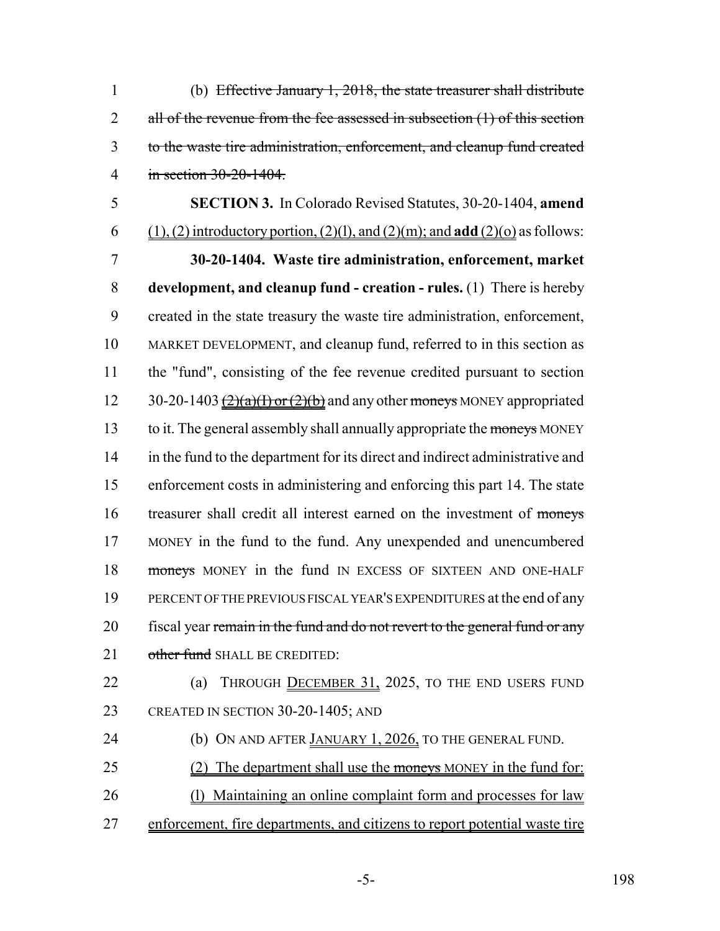(b) Effective January 1, 2018, the state treasurer shall distribute 2 all of the revenue from the fee assessed in subsection (1) of this section to the waste tire administration, enforcement, and cleanup fund created in section 30-20-1404.

 **SECTION 3.** In Colorado Revised Statutes, 30-20-1404, **amend** 6 (1), (2) introductory portion, (2)(l), and (2)(m); and **add** (2)(o) as follows: **30-20-1404. Waste tire administration, enforcement, market development, and cleanup fund - creation - rules.** (1) There is hereby created in the state treasury the waste tire administration, enforcement, MARKET DEVELOPMENT, and cleanup fund, referred to in this section as the "fund", consisting of the fee revenue credited pursuant to section 12 30-20-1403  $\frac{(2)(a)(1)$  or  $(2)(b)$  and any other moneys MONEY appropriated 13 to it. The general assembly shall annually appropriate the moneys MONEY in the fund to the department for its direct and indirect administrative and enforcement costs in administering and enforcing this part 14. The state treasurer shall credit all interest earned on the investment of moneys MONEY in the fund to the fund. Any unexpended and unencumbered 18 moneys MONEY in the fund IN EXCESS OF SIXTEEN AND ONE-HALF PERCENT OF THE PREVIOUS FISCAL YEAR'S EXPENDITURES at the end of any 20 fiscal year remain in the fund and do not revert to the general fund or any 21 other fund SHALL BE CREDITED:

22 (a) THROUGH DECEMBER 31, 2025, TO THE END USERS FUND 23 CREATED IN SECTION 30-20-1405; AND

- (b) ON AND AFTER JANUARY 1, 2026, TO THE GENERAL FUND.
- 25 (2) The department shall use the moneys MONEY in the fund for:
- (l) Maintaining an online complaint form and processes for law
- enforcement, fire departments, and citizens to report potential waste tire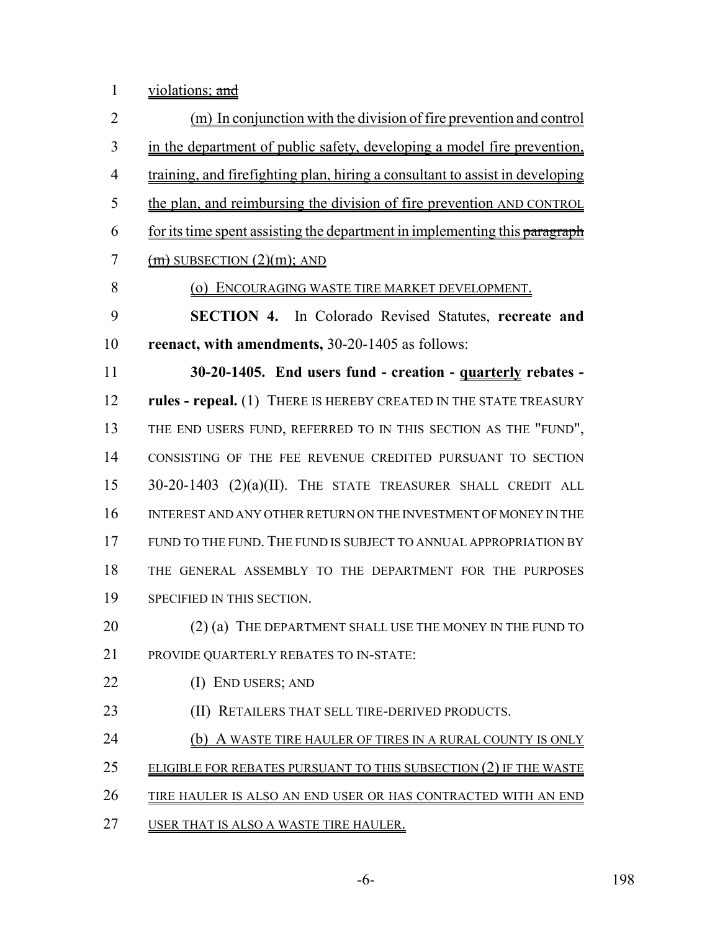1 violations; and

 (m) In conjunction with the division of fire prevention and control in the department of public safety, developing a model fire prevention, training, and firefighting plan, hiring a consultant to assist in developing the plan, and reimbursing the division of fire prevention AND CONTROL for its time spent assisting the department in implementing this paragraph  $(m)$  SUBSECTION  $(2)(m)$ ; AND (o) ENCOURAGING WASTE TIRE MARKET DEVELOPMENT. **SECTION 4.** In Colorado Revised Statutes, **recreate and reenact, with amendments,** 30-20-1405 as follows: **30-20-1405. End users fund - creation - quarterly rebates - rules - repeal.** (1) THERE IS HEREBY CREATED IN THE STATE TREASURY THE END USERS FUND, REFERRED TO IN THIS SECTION AS THE "FUND", CONSISTING OF THE FEE REVENUE CREDITED PURSUANT TO SECTION 30-20-1403 (2)(a)(II). THE STATE TREASURER SHALL CREDIT ALL INTEREST AND ANY OTHER RETURN ON THE INVESTMENT OF MONEY IN THE FUND TO THE FUND. THE FUND IS SUBJECT TO ANNUAL APPROPRIATION BY THE GENERAL ASSEMBLY TO THE DEPARTMENT FOR THE PURPOSES SPECIFIED IN THIS SECTION. 20 (2) (a) THE DEPARTMENT SHALL USE THE MONEY IN THE FUND TO PROVIDE QUARTERLY REBATES TO IN-STATE: 22 (I) END USERS; AND **(II) RETAILERS THAT SELL TIRE-DERIVED PRODUCTS. (b) A WASTE TIRE HAULER OF TIRES IN A RURAL COUNTY IS ONLY** 25 ELIGIBLE FOR REBATES PURSUANT TO THIS SUBSECTION (2) IF THE WASTE TIRE HAULER IS ALSO AN END USER OR HAS CONTRACTED WITH AN END USER THAT IS ALSO A WASTE TIRE HAULER.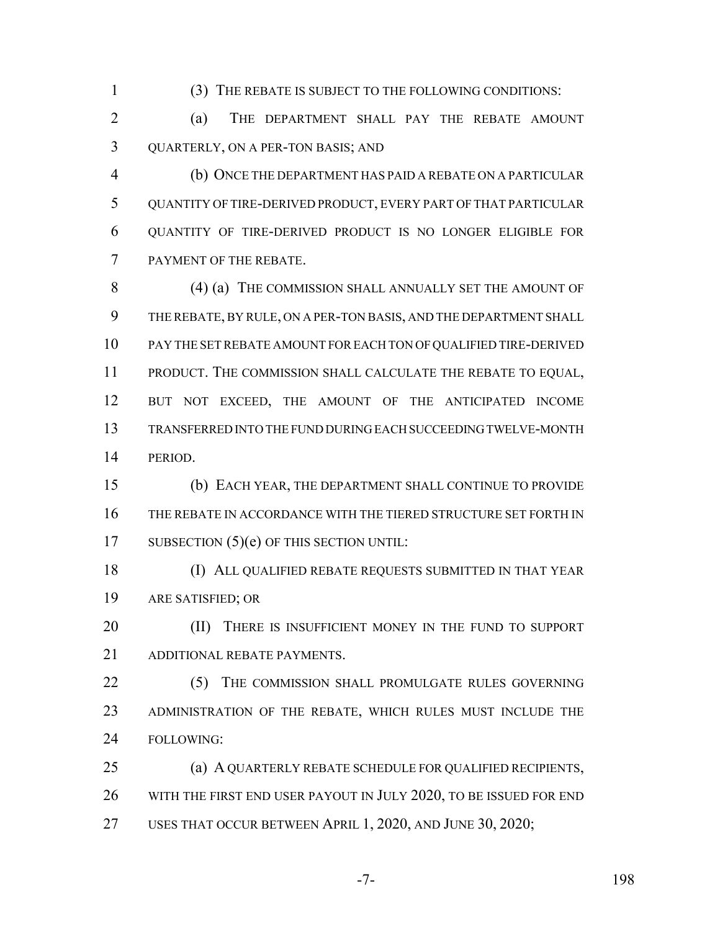(3) THE REBATE IS SUBJECT TO THE FOLLOWING CONDITIONS:

 (a) THE DEPARTMENT SHALL PAY THE REBATE AMOUNT QUARTERLY, ON A PER-TON BASIS; AND

 (b) ONCE THE DEPARTMENT HAS PAID A REBATE ON A PARTICULAR QUANTITY OF TIRE-DERIVED PRODUCT, EVERY PART OF THAT PARTICULAR QUANTITY OF TIRE-DERIVED PRODUCT IS NO LONGER ELIGIBLE FOR PAYMENT OF THE REBATE.

8 (4) (a) THE COMMISSION SHALL ANNUALLY SET THE AMOUNT OF THE REBATE, BY RULE, ON A PER-TON BASIS, AND THE DEPARTMENT SHALL PAY THE SET REBATE AMOUNT FOR EACH TON OF QUALIFIED TIRE-DERIVED PRODUCT. THE COMMISSION SHALL CALCULATE THE REBATE TO EQUAL, BUT NOT EXCEED, THE AMOUNT OF THE ANTICIPATED INCOME TRANSFERRED INTO THE FUND DURING EACH SUCCEEDING TWELVE-MONTH PERIOD.

 (b) EACH YEAR, THE DEPARTMENT SHALL CONTINUE TO PROVIDE THE REBATE IN ACCORDANCE WITH THE TIERED STRUCTURE SET FORTH IN 17 SUBSECTION (5)(e) OF THIS SECTION UNTIL:

 (I) ALL QUALIFIED REBATE REQUESTS SUBMITTED IN THAT YEAR ARE SATISFIED; OR

**(II)** THERE IS INSUFFICIENT MONEY IN THE FUND TO SUPPORT ADDITIONAL REBATE PAYMENTS.

22 (5) THE COMMISSION SHALL PROMULGATE RULES GOVERNING ADMINISTRATION OF THE REBATE, WHICH RULES MUST INCLUDE THE FOLLOWING:

 (a) A QUARTERLY REBATE SCHEDULE FOR QUALIFIED RECIPIENTS, WITH THE FIRST END USER PAYOUT IN JULY 2020, TO BE ISSUED FOR END USES THAT OCCUR BETWEEN APRIL 1, 2020, AND JUNE 30, 2020;

-7- 198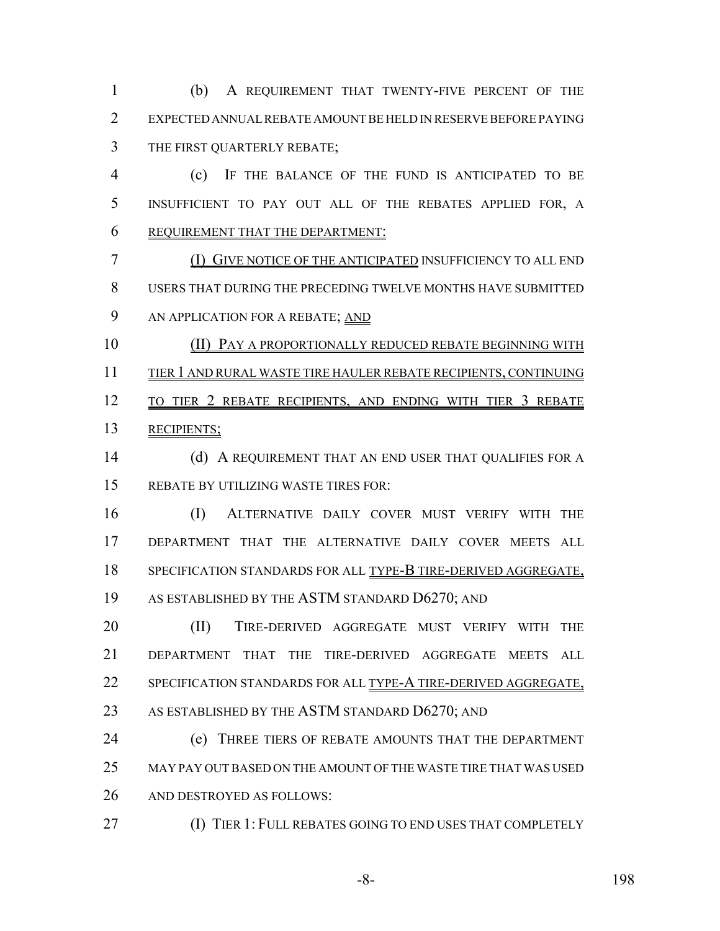(b) A REQUIREMENT THAT TWENTY-FIVE PERCENT OF THE EXPECTED ANNUAL REBATE AMOUNT BE HELD IN RESERVE BEFORE PAYING THE FIRST QUARTERLY REBATE;

 (c) IF THE BALANCE OF THE FUND IS ANTICIPATED TO BE INSUFFICIENT TO PAY OUT ALL OF THE REBATES APPLIED FOR, A REQUIREMENT THAT THE DEPARTMENT:

 (I) GIVE NOTICE OF THE ANTICIPATED INSUFFICIENCY TO ALL END USERS THAT DURING THE PRECEDING TWELVE MONTHS HAVE SUBMITTED AN APPLICATION FOR A REBATE; AND

 (II) PAY A PROPORTIONALLY REDUCED REBATE BEGINNING WITH TIER 1 AND RURAL WASTE TIRE HAULER REBATE RECIPIENTS, CONTINUING 12 TO TIER 2 REBATE RECIPIENTS, AND ENDING WITH TIER 3 REBATE RECIPIENTS;

14 (d) A REQUIREMENT THAT AN END USER THAT QUALIFIES FOR A REBATE BY UTILIZING WASTE TIRES FOR:

 (I) ALTERNATIVE DAILY COVER MUST VERIFY WITH THE DEPARTMENT THAT THE ALTERNATIVE DAILY COVER MEETS ALL 18 SPECIFICATION STANDARDS FOR ALL TYPE-B TIRE-DERIVED AGGREGATE, AS ESTABLISHED BY THE ASTM STANDARD D6270; AND

20 (II) TIRE-DERIVED AGGREGATE MUST VERIFY WITH THE DEPARTMENT THAT THE TIRE-DERIVED AGGREGATE MEETS ALL SPECIFICATION STANDARDS FOR ALL TYPE-A TIRE-DERIVED AGGREGATE, AS ESTABLISHED BY THE ASTM STANDARD D6270; AND

 (e) THREE TIERS OF REBATE AMOUNTS THAT THE DEPARTMENT MAY PAY OUT BASED ON THE AMOUNT OF THE WASTE TIRE THAT WAS USED AND DESTROYED AS FOLLOWS:

**(I) TIER 1: FULL REBATES GOING TO END USES THAT COMPLETELY** 

-8- 198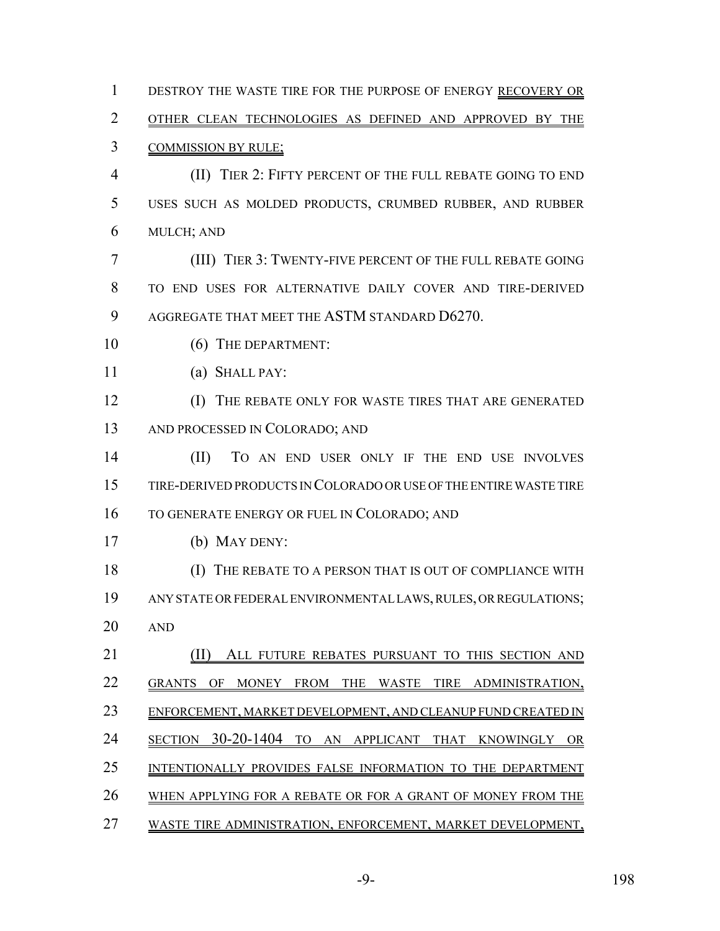DESTROY THE WASTE TIRE FOR THE PURPOSE OF ENERGY RECOVERY OR 2 OTHER CLEAN TECHNOLOGIES AS DEFINED AND APPROVED BY THE COMMISSION BY RULE; (II) TIER 2: FIFTY PERCENT OF THE FULL REBATE GOING TO END USES SUCH AS MOLDED PRODUCTS, CRUMBED RUBBER, AND RUBBER MULCH; AND (III) TIER 3: TWENTY-FIVE PERCENT OF THE FULL REBATE GOING TO END USES FOR ALTERNATIVE DAILY COVER AND TIRE-DERIVED AGGREGATE THAT MEET THE ASTM STANDARD D6270. 10 (6) THE DEPARTMENT: (a) SHALL PAY: (I) THE REBATE ONLY FOR WASTE TIRES THAT ARE GENERATED AND PROCESSED IN COLORADO; AND (II) TO AN END USER ONLY IF THE END USE INVOLVES TIRE-DERIVED PRODUCTS IN COLORADO OR USE OF THE ENTIRE WASTE TIRE TO GENERATE ENERGY OR FUEL IN COLORADO; AND (b) MAY DENY: (I) THE REBATE TO A PERSON THAT IS OUT OF COMPLIANCE WITH ANY STATE OR FEDERAL ENVIRONMENTAL LAWS, RULES, OR REGULATIONS; AND 21 (II) ALL FUTURE REBATES PURSUANT TO THIS SECTION AND GRANTS OF MONEY FROM THE WASTE TIRE ADMINISTRATION, 23 ENFORCEMENT, MARKET DEVELOPMENT, AND CLEANUP FUND CREATED IN SECTION 30-20-1404 TO AN APPLICANT THAT KNOWINGLY OR INTENTIONALLY PROVIDES FALSE INFORMATION TO THE DEPARTMENT WHEN APPLYING FOR A REBATE OR FOR A GRANT OF MONEY FROM THE WASTE TIRE ADMINISTRATION, ENFORCEMENT, MARKET DEVELOPMENT,

-9- 198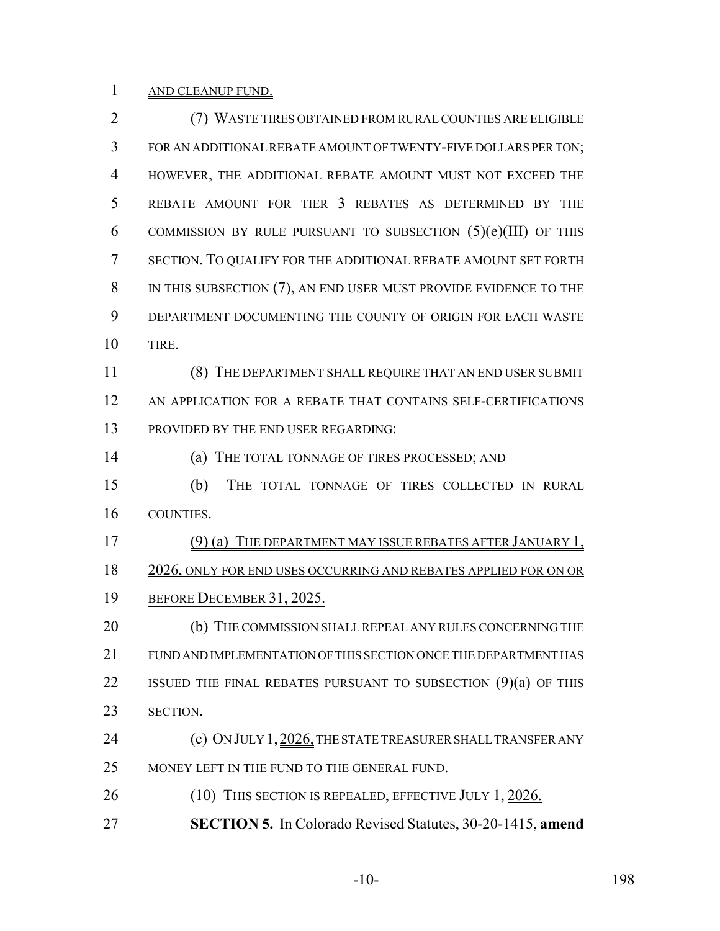# 1 AND CLEANUP FUND.

| $\overline{2}$ | (7) WASTE TIRES OBTAINED FROM RURAL COUNTIES ARE ELIGIBLE         |
|----------------|-------------------------------------------------------------------|
| 3              | FOR AN ADDITIONAL REBATE AMOUNT OF TWENTY-FIVE DOLLARS PER TON;   |
| $\overline{4}$ | HOWEVER, THE ADDITIONAL REBATE AMOUNT MUST NOT EXCEED THE         |
| 5              | REBATE AMOUNT FOR TIER 3 REBATES AS DETERMINED BY THE             |
| 6              | COMMISSION BY RULE PURSUANT TO SUBSECTION $(5)(e)(III)$ OF THIS   |
| 7              | SECTION. TO QUALIFY FOR THE ADDITIONAL REBATE AMOUNT SET FORTH    |
| 8              | IN THIS SUBSECTION (7), AN END USER MUST PROVIDE EVIDENCE TO THE  |
| 9              | DEPARTMENT DOCUMENTING THE COUNTY OF ORIGIN FOR EACH WASTE        |
| 10             | TIRE.                                                             |
| 11             | (8) THE DEPARTMENT SHALL REQUIRE THAT AN END USER SUBMIT          |
| 12             | AN APPLICATION FOR A REBATE THAT CONTAINS SELF-CERTIFICATIONS     |
| 13             | PROVIDED BY THE END USER REGARDING:                               |
| 14             | THE TOTAL TONNAGE OF TIRES PROCESSED; AND<br>(a)                  |
| 15             | (b)<br>THE TOTAL TONNAGE OF TIRES COLLECTED IN RURAL              |
| 16             | COUNTIES.                                                         |
| 17             | (9) (a) THE DEPARTMENT MAY ISSUE REBATES AFTER JANUARY 1,         |
| 18             | 2026, ONLY FOR END USES OCCURRING AND REBATES APPLIED FOR ON OR   |
| 19             | BEFORE DECEMBER 31, 2025.                                         |
| 20             | (b) THE COMMISSION SHALL REPEAL ANY RULES CONCERNING THE          |
| 21             | FUND AND IMPLEMENTATION OF THIS SECTION ONCE THE DEPARTMENT HAS   |
| 22             | ISSUED THE FINAL REBATES PURSUANT TO SUBSECTION $(9)(a)$ OF THIS  |
| 23             | SECTION.                                                          |
| 24             | (c) ON JULY 1, 2026, THE STATE TREASURER SHALL TRANSFER ANY       |
| 25             | MONEY LEFT IN THE FUND TO THE GENERAL FUND.                       |
| 26             | (10) THIS SECTION IS REPEALED, EFFECTIVE JULY 1, 2026.            |
| 27             | <b>SECTION 5.</b> In Colorado Revised Statutes, 30-20-1415, amend |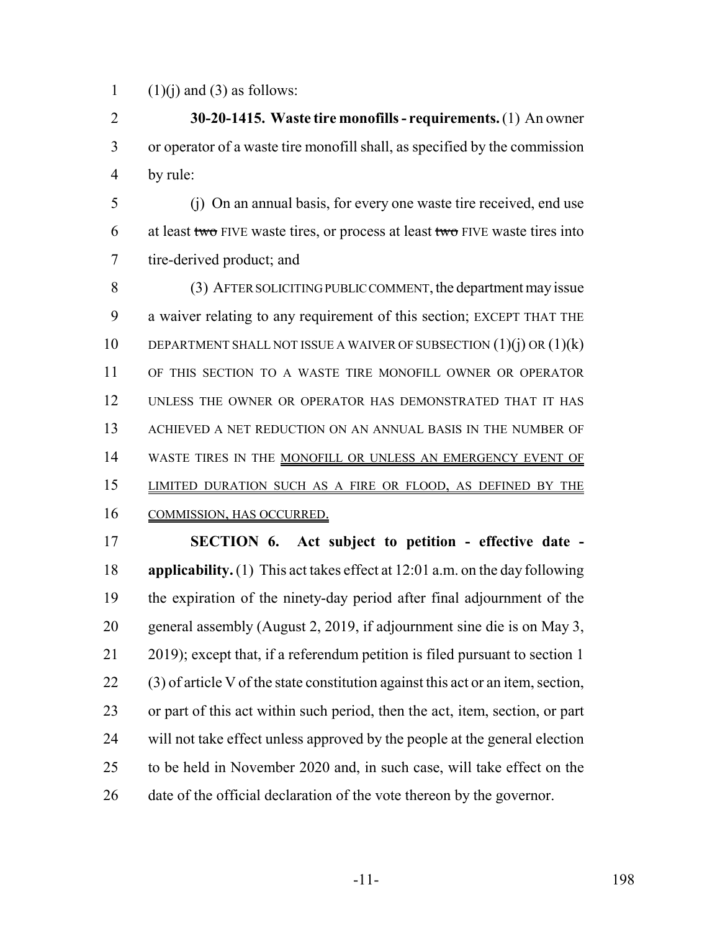1  $(1)(i)$  and  $(3)$  as follows:

 **30-20-1415. Waste tire monofills - requirements.** (1) An owner or operator of a waste tire monofill shall, as specified by the commission by rule:

 (j) On an annual basis, for every one waste tire received, end use 6 at least two FIVE waste tires, or process at least two FIVE waste tires into tire-derived product; and

 (3) AFTER SOLICITING PUBLIC COMMENT, the department may issue a waiver relating to any requirement of this section; EXCEPT THAT THE 10 DEPARTMENT SHALL NOT ISSUE A WAIVER OF SUBSECTION (1)(j) OR (1)(k) OF THIS SECTION TO A WASTE TIRE MONOFILL OWNER OR OPERATOR UNLESS THE OWNER OR OPERATOR HAS DEMONSTRATED THAT IT HAS ACHIEVED A NET REDUCTION ON AN ANNUAL BASIS IN THE NUMBER OF 14 WASTE TIRES IN THE MONOFILL OR UNLESS AN EMERGENCY EVENT OF LIMITED DURATION SUCH AS A FIRE OR FLOOD, AS DEFINED BY THE COMMISSION, HAS OCCURRED.

 **SECTION 6. Act subject to petition - effective date - applicability.** (1) This act takes effect at 12:01 a.m. on the day following the expiration of the ninety-day period after final adjournment of the general assembly (August 2, 2019, if adjournment sine die is on May 3, 2019); except that, if a referendum petition is filed pursuant to section 1 (3) of article V of the state constitution against this act or an item, section, or part of this act within such period, then the act, item, section, or part will not take effect unless approved by the people at the general election to be held in November 2020 and, in such case, will take effect on the date of the official declaration of the vote thereon by the governor.